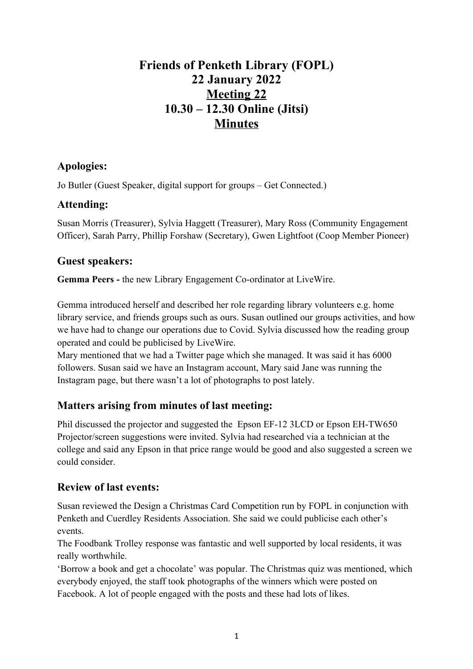# **Friends of Penketh Library (FOPL) 22 January 2022 Meeting 22 10.30 – 12.30 Online (Jitsi) Minutes**

# **Apologies:**

Jo Butler (Guest Speaker, digital support for groups – Get Connected.)

## **Attending:**

Susan Morris (Treasurer), Sylvia Haggett (Treasurer), Mary Ross (Community Engagement Officer), Sarah Parry, Phillip Forshaw (Secretary), Gwen Lightfoot (Coop Member Pioneer)

## **Guest speakers:**

**Gemma Peers -** the new Library Engagement Co-ordinator at LiveWire.

Gemma introduced herself and described her role regarding library volunteers e.g. home library service, and friends groups such as ours. Susan outlined our groups activities, and how we have had to change our operations due to Covid. Sylvia discussed how the reading group operated and could be publicised by LiveWire.

Mary mentioned that we had a Twitter page which she managed. It was said it has 6000 followers. Susan said we have an Instagram account, Mary said Jane was running the Instagram page, but there wasn't a lot of photographs to post lately.

# **Matters arising from minutes of last meeting:**

Phil discussed the projector and suggested the Epson EF-12 3LCD or Epson EH-TW650 Projector/screen suggestions were invited. Sylvia had researched via a technician at the college and said any Epson in that price range would be good and also suggested a screen we could consider.

# **Review of last events:**

Susan reviewed the Design a Christmas Card Competition run by FOPL in conjunction with Penketh and Cuerdley Residents Association. She said we could publicise each other's events.

The Foodbank Trolley response was fantastic and well supported by local residents, it was really worthwhile.

'Borrow a book and get a chocolate' was popular. The Christmas quiz was mentioned, which everybody enjoyed, the staff took photographs of the winners which were posted on Facebook. A lot of people engaged with the posts and these had lots of likes.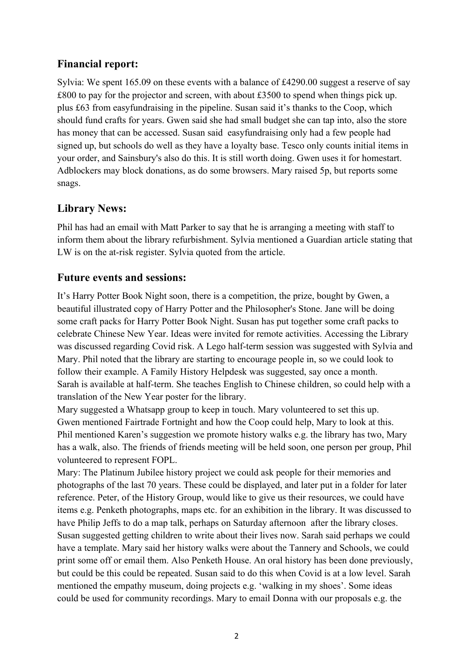## **Financial report:**

Sylvia: We spent 165.09 on these events with a balance of £4290.00 suggest a reserve of say  $£800$  to pay for the projector and screen, with about £3500 to spend when things pick up. plus £63 from easyfundraising in the pipeline. Susan said it's thanks to the Coop, which should fund crafts for years. Gwen said she had small budget she can tap into, also the store has money that can be accessed. Susan said easyfundraising only had a few people had signed up, but schools do well as they have a loyalty base. Tesco only counts initial items in your order, and Sainsbury's also do this. It is still worth doing. Gwen uses it for homestart. Adblockers may block donations, as do some browsers. Mary raised 5p, but reports some snags.

## **Library News:**

Phil has had an email with Matt Parker to say that he is arranging a meeting with staff to inform them about the library refurbishment. Sylvia mentioned a Guardian article stating that LW is on the at-risk register. Sylvia quoted from the article.

#### **Future events and sessions:**

It's Harry Potter Book Night soon, there is a competition, the prize, bought by Gwen, a beautiful illustrated copy of Harry Potter and the Philosopher's Stone. Jane will be doing some craft packs for Harry Potter Book Night. Susan has put together some craft packs to celebrate Chinese New Year. Ideas were invited for remote activities. Accessing the Library was discussed regarding Covid risk. A Lego half-term session was suggested with Sylvia and Mary. Phil noted that the library are starting to encourage people in, so we could look to follow their example. A Family History Helpdesk was suggested, say once a month. Sarah is available at half-term. She teaches English to Chinese children, so could help with a translation of the New Year poster for the library.

Mary suggested a Whatsapp group to keep in touch. Mary volunteered to set this up. Gwen mentioned Fairtrade Fortnight and how the Coop could help, Mary to look at this. Phil mentioned Karen's suggestion we promote history walks e.g. the library has two, Mary has a walk, also. The friends of friends meeting will be held soon, one person per group, Phil volunteered to represent FOPL.

Mary: The Platinum Jubilee history project we could ask people for their memories and photographs of the last 70 years. These could be displayed, and later put in a folder for later reference. Peter, of the History Group, would like to give us their resources, we could have items e.g. Penketh photographs, maps etc. for an exhibition in the library. It was discussed to have Philip Jeffs to do a map talk, perhaps on Saturday afternoon after the library closes. Susan suggested getting children to write about their lives now. Sarah said perhaps we could have a template. Mary said her history walks were about the Tannery and Schools, we could print some off or email them. Also Penketh House. An oral history has been done previously, but could be this could be repeated. Susan said to do this when Covid is at a low level. Sarah mentioned the empathy museum, doing projects e.g. 'walking in my shoes'. Some ideas could be used for community recordings. Mary to email Donna with our proposals e.g. the